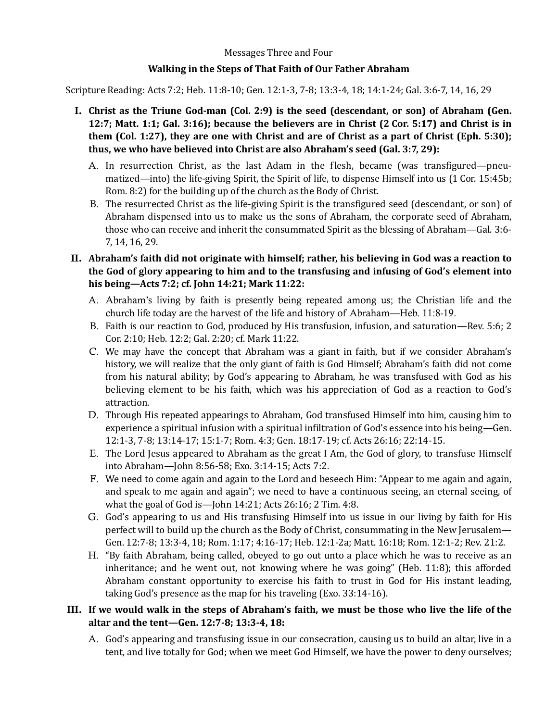## Messages Three and Four

## **Walking in the Steps of That Faith of Our Father Abraham**

Scripture Reading: Acts 7:2; Heb. 11:8-10; Gen. 12:1-3, 7-8; 13:3-4, 18; 14:1-24; Gal. 3:6-7, 14, 16, 29

- I. Christ as the Triune God-man (Col. 2:9) is the seed (descendant, or son) of Abraham (Gen. **12:7;** Matt. **1:1;** Gal. 3:16); because the believers are in Christ (2 Cor. 5:17) and Christ is in **them** (Col. 1:27), they are one with Christ and are of Christ as a part of Christ (Eph. 5:30); **thus, we who have believed into Christ are also Abraham's seed (Gal. 3:7, 29):** 
	- A. In resurrection Christ, as the last Adam in the flesh, became (was transfigured—pneumatized—into) the life-giving Spirit, the Spirit of life, to dispense Himself into us (1 Cor. 15:45b; Rom. 8:2) for the building up of the church as the Body of Christ.
	- B. The resurrected Christ as the life-giving Spirit is the transfigured seed (descendant, or son) of Abraham dispensed into us to make us the sons of Abraham, the corporate seed of Abraham, those who can receive and inherit the consummated Spirit as the blessing of Abraham—Gal. 3:6-7, 14, 16, 29.
- II. Abraham's faith did not originate with himself; rather, his believing in God was a reaction to the God of glory appearing to him and to the transfusing and infusing of God's element into **his being—Acts 7:2; cf. John 14:21; Mark 11:22:**
	- A. Abraham's living by faith is presently being repeated among us; the Christian life and the church life today are the harvest of the life and history of Abraham—Heb. 11:8-19.
	- B. Faith is our reaction to God, produced by His transfusion, infusion, and saturation—Rev. 5:6; 2 Cor. 2:10; Heb. 12:2; Gal. 2:20; cf. Mark 11:22.
	- C. We may have the concept that Abraham was a giant in faith, but if we consider Abraham's history, we will realize that the only giant of faith is God Himself; Abraham's faith did not come from his natural ability; by God's appearing to Abraham, he was transfused with God as his believing element to be his faith, which was his appreciation of God as a reaction to God's attraction.
	- D. Through His repeated appearings to Abraham, God transfused Himself into him, causing him to experience a spiritual infusion with a spiritual infiltration of God's essence into his being—Gen. 12:1-3, 7-8; 13:14-17; 15:1-7; Rom. 4:3; Gen. 18:17-19; cf. Acts 26:16; 22:14-15.
	- E. The Lord Jesus appeared to Abraham as the great I Am, the God of glory, to transfuse Himself into Abraham—John 8:56-58; Exo. 3:14-15; Acts 7:2.
	- F. We need to come again and again to the Lord and beseech Him: "Appear to me again and again, and speak to me again and again"; we need to have a continuous seeing, an eternal seeing, of what the goal of God is—John  $14:21$ ; Acts  $26:16$ ; 2 Tim.  $4:8$ .
	- G. God's appearing to us and His transfusing Himself into us issue in our living by faith for His perfect will to build up the church as the Body of Christ, consummating in the New Jerusalem— Gen. 12:7-8; 13:3-4, 18; Rom. 1:17; 4:16-17; Heb. 12:1-2a; Matt. 16:18; Rom. 12:1-2; Rev. 21:2.
	- H. "By faith Abraham, being called, obeyed to go out unto a place which he was to receive as an inheritance; and he went out, not knowing where he was going" (Heb.  $11:8$ ); this afforded Abraham constant opportunity to exercise his faith to trust in God for His instant leading, taking God's presence as the map for his traveling  $(Exo. 33:14-16)$ .

## III. If we would walk in the steps of Abraham's faith, we must be those who live the life of the altar and the tent-Gen. 12:7-8; 13:3-4, 18:

A. God's appearing and transfusing issue in our consecration, causing us to build an altar, live in a tent, and live totally for God; when we meet God Himself, we have the power to deny ourselves;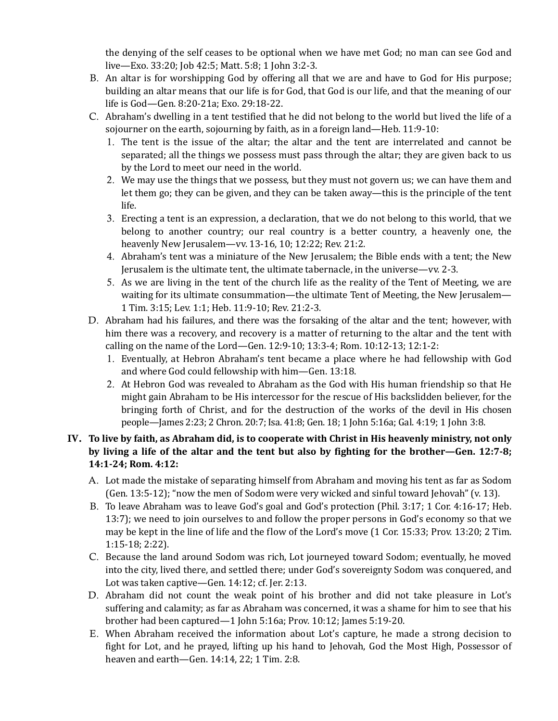the denying of the self ceases to be optional when we have met God; no man can see God and live—Exo. 33:20; Job 42:5; Matt. 5:8; 1 John 3:2-3.

- B. An altar is for worshipping God by offering all that we are and have to God for His purpose; building an altar means that our life is for God, that God is our life, and that the meaning of our life is God-Gen. 8:20-21a; Exo. 29:18-22.
- C. Abraham's dwelling in a tent testified that he did not belong to the world but lived the life of a sojourner on the earth, sojourning by faith, as in a foreign land—Heb. 11:9-10:
	- 1. The tent is the issue of the altar; the altar and the tent are interrelated and cannot be separated; all the things we possess must pass through the altar; they are given back to us by the Lord to meet our need in the world.
	- 2. We may use the things that we possess, but they must not govern us; we can have them and let them go; they can be given, and they can be taken away—this is the principle of the tent life.
	- 3. Erecting a tent is an expression, a declaration, that we do not belong to this world, that we belong to another country; our real country is a better country, a heavenly one, the heavenly New Jerusalem—vv. 13-16, 10; 12:22; Rev. 21:2.
	- 4. Abraham's tent was a miniature of the New Jerusalem; the Bible ends with a tent; the New Jerusalem is the ultimate tent, the ultimate tabernacle, in the universe—vv. 2-3.
	- 5. As we are living in the tent of the church life as the reality of the Tent of Meeting, we are waiting for its ultimate consummation—the ultimate Tent of Meeting, the New Jerusalem— 1 Tim. 3:15; Lev. 1:1; Heb. 11:9-10; Rev. 21:2-3.
- D. Abraham had his failures, and there was the forsaking of the altar and the tent; however, with him there was a recovery, and recovery is a matter of returning to the altar and the tent with calling on the name of the Lord—Gen.  $12:9-10$ ;  $13:3-4$ ; Rom.  $10:12-13$ ;  $12:1-2$ :
	- 1. Eventually, at Hebron Abraham's tent became a place where he had fellowship with God and where God could fellowship with him-Gen. 13:18.
	- 2. At Hebron God was revealed to Abraham as the God with His human friendship so that He might gain Abraham to be His intercessor for the rescue of His backslidden believer, for the bringing forth of Christ, and for the destruction of the works of the devil in His chosen people—James 2:23; 2 Chron. 20:7; Isa. 41:8; Gen. 18; 1 John 5:16a; Gal. 4:19; 1 John 3:8.

## IV. To live by faith, as Abraham did, is to cooperate with Christ in His heavenly ministry, not only **by** living a life of the altar and the tent but also by fighting for the brother—Gen. 12:7-8; **14:1-24; Rom. 4:12:**

- A. Lot made the mistake of separating himself from Abraham and moving his tent as far as Sodom (Gen. 13:5-12); "now the men of Sodom were very wicked and sinful toward Jehovah" (v. 13).
- B. To leave Abraham was to leave God's goal and God's protection (Phil. 3:17; 1 Cor. 4:16-17; Heb. 13:7); we need to join ourselves to and follow the proper persons in God's economy so that we may be kept in the line of life and the flow of the Lord's move (1 Cor. 15:33; Prov. 13:20; 2 Tim. 1:15-18; 2:22).
- C. Because the land around Sodom was rich, Lot journeyed toward Sodom; eventually, he moved into the city, lived there, and settled there; under God's sovereignty Sodom was conquered, and Lot was taken captive—Gen.  $14:12$ ; cf. Jer.  $2:13$ .
- D. Abraham did not count the weak point of his brother and did not take pleasure in Lot's suffering and calamity; as far as Abraham was concerned, it was a shame for him to see that his brother had been captured—1 John 5:16a; Prov.  $10:12$ ; James  $5:19-20$ .
- E. When Abraham received the information about Lot's capture, he made a strong decision to fight for Lot, and he prayed, lifting up his hand to Jehovah, God the Most High, Possessor of heaven and earth-Gen. 14:14, 22; 1 Tim. 2:8.